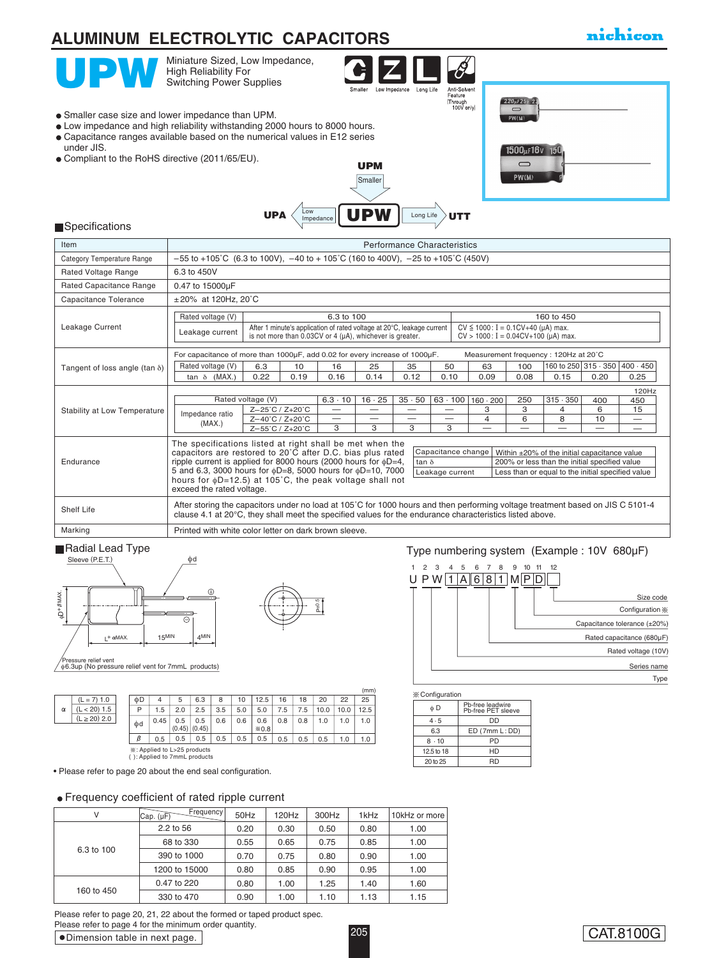#### $\overline{\mathscr{E}}$ Miniature Sized, Low Impedance, High Reliability For Switching Power Supplies Anti-Solvent<br>Feature<br>Through<br>100V only) Long Life 220µF25v 2  $\subset$ Smaller case size and lower impedance than UPM. PW(M) Low impedance and high reliability withstanding 2000 hours to 8000 hours. Capacitance ranges available based on the numerical values in E12 series under JIS. 1500µF16v Compliant to the RoHS directive (2011/65/EU). UPM PW(M) Smaller UPA  $\left\langle \frac{\text{Low}}{\text{Impedance}} \right|$  UPW  $\left\langle \frac{\text{Long Life}}{\text{Long Life}} \right\rangle$ UTT Long Life**Specifications Item Performance Characteristics Performance Characteristics**  $-55$  to +105°C (6.3 to 100V),  $-40$  to + 105°C (160 to 400V),  $-25$  to +105°C (450V) Category Temperature Range Rated Voltage Range 6.3 to 450V 0.47 to 15000µF Rated Capacitance Range  $\pm 20\%$  at 120Hz, 20 $°C$ Capacitance Tolerance Rated voltage (V) | 6.3 to 100 160 450 Leakage Current  $CV \le 1000$ : I = 0.1CV+40 (µA) max. Leakage current | After 1 minute's application of rated voltage at 20°C, leakage current<br>is not more than 0.03CV or 4 (µA), whichever is greater.  $CV > 1000$ :  $I = 0.04CV + 100$  ( $\mu$ A) max. For capacitance of more than 1000µF, add 0.02 for every increase of 1000µF. Measurement frequency : 120Hz at 20˚C Rated voltage (V) 6.3 10 16 25 35 50 63 100 Tangent of loss angle (tan δ) 160 to 250 315 · 350 400 · 450 tan δ (MAX.) 0.22 0.19 0.16 0.14 0.12 0.10 0.09 0.08 0.15 0.20 0.25 120Hz Rated voltage (V)  $35 \cdot 50$ 250  $315 \cdot 350$  $6.3 \cdot 10$  16  $\cdot$  25 63 · 100 160 · 200 400 450 Stability at Low Temperature Z–25˚C / Z+20˚C Z–40˚C / Z+20˚C — — — — 3 3 4 6 15 Impedance ratio 8 — — — — 4 6 10 — (MAX.) 3 3 3 3 — — — — — Z–55˚C / Z+20˚C The specifications listed at right shall be met when the capacitors are restored to 20˚C after D.C. bias plus rated Capacitance change Within ±20% of the initial capacitance value

| Endurance  | ripple current is applied for 8000 hours (2000 hours for $\phi$ D=4,<br>5 and 6.3, 3000 hours for $\phi$ D=8, 5000 hours for $\phi$ D=10, 7000<br>hours for $\phi$ D=12.5) at 105°C, the peak voltage shall not<br>exceed the rated voltage. | tan $\delta$<br>Leakage current | 200% or less than the initial specified value<br>Less than or equal to the initial specified value |  |  |  |  |  |  |  |  |
|------------|----------------------------------------------------------------------------------------------------------------------------------------------------------------------------------------------------------------------------------------------|---------------------------------|----------------------------------------------------------------------------------------------------|--|--|--|--|--|--|--|--|
| Shelf Life | After storing the capacitors under no load at 105°C for 1000 hours and then performing voltage treatment based on JIS C 5101-4<br>clause 4.1 at 20°C, they shall meet the specified values for the endurance characteristics listed above.   |                                 |                                                                                                    |  |  |  |  |  |  |  |  |
| Marking    | Printed with white color letter on dark brown sleeve.                                                                                                                                                                                        |                                 |                                                                                                    |  |  |  |  |  |  |  |  |



| $-5$<br>I |
|-----------|
|           |

### ■Radial Lead Type Type numbering system (Example : 10V 680µF)



|          |                             |  |    |      |                   |     |     |     |        |     |     |      |      | (mm) |
|----------|-----------------------------|--|----|------|-------------------|-----|-----|-----|--------|-----|-----|------|------|------|
|          | $(L = 7)$ 1.0               |  | ΦD | 4    | 5                 | 6.3 | 8   | 10  | 12.5   | 16  | 18  | 20   | 22   | 25   |
| $\alpha$ | $< 20$ ) 1.5                |  | P  | 1.5  | 2.0               | 2.5 | 3.5 | 5.0 | 5.0    | 7.5 | 7.5 | 10.0 | 10.0 | 12.5 |
|          | $(L \ge 20)$ 2.0            |  | Фd | 0.45 | 0.5               | 0.5 | 0.6 | 0.6 | 0.6    | 0.8 | 0.8 | 1.0  | 1.0  | 1.0  |
|          |                             |  |    |      | $(0.45)$ $(0.45)$ |     |     |     | $*0.8$ |     |     |      |      |      |
|          |                             |  | β  | 0.5  | 0.5               | 0.5 | 0.5 | 0.5 | 0.5    | 0.5 | 0.5 | 0.5  | 1.0  | 1.0  |
|          | *: Applied to L>25 products |  |    |      |                   |     |     |     |        |     |     |      |      |      |

: Applied to L>25 products ( ): Applied to 7mmL products

• Please refer to page 20 about the end seal configuration.

#### Frequency coefficient of rated ripple current

|  | V          | Frequency<br>$ Cap.$ $(\mu F)$ | 50Hz | 120Hz | 300Hz | 1kHz | 10kHz or more |
|--|------------|--------------------------------|------|-------|-------|------|---------------|
|  | 6.3 to 100 | 2.2 to 56                      | 0.20 | 0.30  | 0.50  | 0.80 | 1.00          |
|  |            | 68 to 330                      | 0.55 | 0.65  | 0.75  | 0.85 | 1.00          |
|  |            | 390 to 1000                    | 0.70 | 0.75  | 0.80  | 0.90 | 1.00          |
|  |            | 1200 to 15000                  | 0.80 | 0.85  | 0.90  | 0.95 | 1.00          |
|  | 160 to 450 | 0.47 to 220                    | 0.80 | 1.00  | 1.25  | 1.40 | 1.60          |
|  |            | 330 to 470                     | 0.90 | 1.00  | 1.10  | 1.13 | 1.15          |

Dimension table in next page. Please refer to page 20, 21, 22 about the formed or taped product spec. Please refer to page 4 for the minimum order quantity.

| <b>X</b> Configuration                 |  |  |  |  |  |  |  |  |
|----------------------------------------|--|--|--|--|--|--|--|--|
| Pb-free leadwire<br>Ph-free PET sleeve |  |  |  |  |  |  |  |  |
| DD                                     |  |  |  |  |  |  |  |  |
| ED (7mm L: DD)                         |  |  |  |  |  |  |  |  |
| PD                                     |  |  |  |  |  |  |  |  |
| HD                                     |  |  |  |  |  |  |  |  |
| RD                                     |  |  |  |  |  |  |  |  |
|                                        |  |  |  |  |  |  |  |  |

## **ALUMINUM ELECTROLYTIC CAPACITORS**

### nichicon

205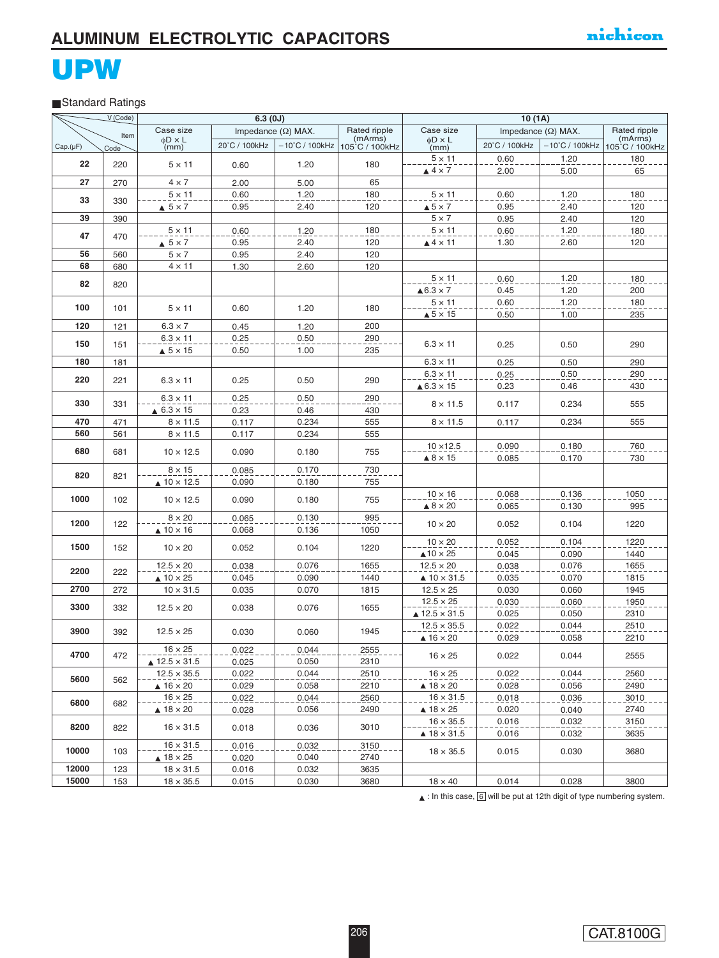### Standard Ratings

|          | V (Code)   |                                                | 6.3(0J)                                      |                           |                           | 10(1A)                                                        |                |                           |                           |  |
|----------|------------|------------------------------------------------|----------------------------------------------|---------------------------|---------------------------|---------------------------------------------------------------|----------------|---------------------------|---------------------------|--|
|          | Item       | Case size                                      |                                              | Impedance $(\Omega)$ MAX. | Rated ripple              | Case size                                                     |                | Impedance $(\Omega)$ MAX. | Rated ripple              |  |
| Cap.(µF) | Code       | $\phi$ D x L<br>(mm)                           | 20°C / 100kHz                                | $-10^{\circ}$ C / 100kHz  | (mArms)<br>105°C / 100kHz | $\phi$ D × L<br>(mm)                                          | 20°C / 100kHz  | $-10^{\circ}$ C / 100kHz  | (mArms)<br>105°C / 100kHz |  |
|          |            |                                                |                                              |                           |                           | $5 \times 11$                                                 | 0.60           | 1.20                      | 180                       |  |
| 22       | 220        | $5 \times 11$                                  | 0.60                                         | 1.20                      | 180                       | $\triangle$ 4 $\times$ 7                                      | 2.00           | 5.00                      | 65                        |  |
| 27       | 270        | $4 \times 7$                                   | 2.00                                         | 5.00                      | 65                        |                                                               |                |                           |                           |  |
|          |            | $5 \times 11$                                  | 0.60                                         | 1.20                      | 180                       | $5 \times 11$                                                 | 0.60           | 1.20                      | 180                       |  |
| 33       | 330        | $\triangle$ 5 $\times$ 7                       | 0.95                                         | 2.40                      | 120                       | $\triangle$ 5 $\times$ 7                                      | 0.95           | 2.40                      | 120                       |  |
| 39       | 390        |                                                |                                              |                           |                           | $5 \times 7$                                                  | 0.95           | 2.40                      | 120                       |  |
|          |            | $5 \times 11$                                  |                                              |                           | 180                       | $5 \times 11$                                                 |                | 1.20                      | 180                       |  |
| 47       | 470        |                                                | 0.60<br>0.95                                 | 1.20<br>2.40              | 120                       | $\triangle$ 4 $\times$ 11                                     | 0.60<br>1.30   | 2.60                      | 120                       |  |
| 56       |            | $\triangle$ 5 $\times$ 7<br>$5 \times 7$       |                                              | 2.40                      | 120                       |                                                               |                |                           |                           |  |
| 68       | 560<br>680 | $4 \times 11$                                  | 0.95<br>1.30                                 | 2.60                      | 120                       |                                                               |                |                           |                           |  |
|          |            |                                                |                                              |                           |                           | $5 \times 11$                                                 | 0.60           | 1.20                      | 180                       |  |
| 82       | 820        |                                                |                                              |                           |                           | $\triangle 6.3 \times 7$                                      |                |                           | 200                       |  |
|          |            |                                                |                                              |                           |                           |                                                               | 0.45           | 1.20<br>1.20              | 180                       |  |
| 100      | 101        | $5 \times 11$                                  | 0.60                                         | 1.20                      | 180                       | $5 \times 11$                                                 | 0.60           |                           |                           |  |
| 120      |            | $6.3 \times 7$                                 |                                              |                           | 200                       | $\triangle$ 5 $\times$ 15                                     | 0.50           | 1.00                      | 235                       |  |
|          | 121        | $6.3 \times 11$                                | 0.45                                         | 1.20                      |                           |                                                               |                |                           |                           |  |
| 150      | 151        |                                                | 0.25                                         | 0.50                      | 290                       | $6.3 \times 11$                                               | 0.25           | 0.50                      | 290                       |  |
| 180      |            | $\triangle$ 5 $\times$ 15                      | 0.50                                         | 1.00                      | 235                       | $6.3 \times 11$                                               |                | 0.50                      |                           |  |
|          | 181        |                                                |                                              |                           |                           |                                                               | 0.25           |                           | 290                       |  |
| 220      | 221        | $6.3 \times 11$                                | 0.25                                         | 0.50                      | 290                       | $6.3 \times 11$                                               | 0.25           | 0.50                      | 290                       |  |
|          |            |                                                |                                              |                           |                           | $\triangle 6.3 \times 15$                                     | 0.23           | 0.46                      | 430                       |  |
| 330      | 331        | $6.3 \times 11$                                | 0.25                                         | 0.50<br>0.46              | 290<br>430                | $8 \times 11.5$                                               | 0.117          | 0.234                     | 555                       |  |
| 470      |            | $\triangle$ 6.3 $\times$ 15<br>$8 \times 11.5$ | 0.23                                         |                           |                           | $8 \times 11.5$                                               |                |                           |                           |  |
| 560      | 471        |                                                | 0.117                                        | 0.234                     | 555                       |                                                               | 0.117          | 0.234                     | 555                       |  |
|          | 561        | $8 \times 11.5$                                | 0.117                                        | 0.234                     | 555                       | $10 \times 12.5$                                              |                |                           |                           |  |
| 680      | 681        | $10 \times 12.5$                               | 0.090                                        | 0.180                     | 755                       |                                                               | 0.090          | 0.180                     | 760                       |  |
|          |            | $8 \times 15$                                  |                                              |                           |                           | $\triangle$ 8 $\times$ 15                                     | 0.085          | 0.170                     | 730                       |  |
| 820      | 821        |                                                | 0.085                                        | 0.170                     | 730                       |                                                               |                |                           |                           |  |
|          |            | $\triangle$ 10 $\times$ 12.5                   | 0.090                                        | 0.180                     | 755                       |                                                               |                |                           |                           |  |
| 1000     | 102        | $10 \times 12.5$                               | 0.090                                        | 0.180                     | 755                       | $10 \times 16$                                                | 0.068          | 0.136                     | 1050                      |  |
|          |            | $8 \times 20$                                  |                                              |                           | 995                       |                                                               |                | 0.130                     | 995                       |  |
| 1200     | 122        |                                                | 0.065                                        | 0.130                     |                           | $\triangle$ 8 $\times$ 20<br>0.065<br>$10 \times 20$<br>0.052 |                | 0.104                     | 1220                      |  |
|          |            | $\triangle$ 10 $\times$ 16                     | 0.068                                        | 0.136                     | 1050                      | $10 \times 20$                                                |                |                           |                           |  |
| 1500     | 152        | $10 \times 20$                                 | 0.052                                        | 0.104                     | 1220                      |                                                               | 0.052          | 0.104                     | 1220<br>1440              |  |
|          |            | $12.5 \times 20$                               |                                              | 0.076                     | 1655                      | $\triangle$ 10 $\times$ 25<br>$12.5 \times 20$                | 0.045          | 0.090<br>0.076            | 1655                      |  |
| 2200     | 222        | $\triangle$ 10 $\times$ 25                     | 0.038<br>0.045                               |                           |                           | $\triangle$ 10 $\times$ 31.5                                  | 0.038<br>0.035 |                           | 1815                      |  |
| 2700     |            |                                                |                                              | 0.090                     | 1440                      |                                                               |                | 0.070<br>0.060            | 1945                      |  |
|          | 272        | $10 \times 31.5$                               | 0.035                                        | 0.070                     | 1815                      | $12.5 \times 25$<br>$12.5 \times 25$                          | 0.030<br>0.030 | 0.060                     | 1950                      |  |
| 3300     | 332        | $12.5 \times 20$                               | 0.038                                        | 0.076                     | 1655                      | $\triangle$ 12.5 $\times$ 31.5                                | 0.025          | 0.050                     | 2310                      |  |
|          |            |                                                |                                              |                           |                           | $12.5 \times 35.5$                                            | 0.022          | 0.044                     | 2510                      |  |
| 3900     | 392        | $12.5 \times 25$                               | 0.030                                        | 0.060                     | 1945                      | $\triangle$ 16 $\times$ 20                                    | 0.029          | 0.058                     | 2210                      |  |
|          |            | $16 \times 25$                                 | 0.022                                        | 0.044                     | 2555                      |                                                               |                |                           |                           |  |
| 4700     | 472        | $\triangle$ 12.5 $\times$ 31.5                 | 0.025                                        | 0.050                     | 2310                      | $16 \times 25$                                                | 0.022          | 0.044                     | 2555                      |  |
|          |            | $12.5 \times 35.5$                             | 0.022                                        | 0.044                     | 2510                      | $16 \times 25$                                                | 0.022          | 0.044                     | 2560                      |  |
| 5600     | 562        | $\triangle$ 16 $\times$ 20                     | 0.029                                        | 0.058                     | 2210                      | $\triangle$ 18 $\times$ 20                                    | 0.028          | 0.056                     | 2490                      |  |
|          |            | $16 \times 25$                                 | 0.022                                        | 0.044                     | 2560                      | $16 \times 31.5$                                              | 0.018          | 0.036                     | 3010                      |  |
| 6800     | 682        | $\triangle$ 18 $\times$ 20                     | 0.028                                        | 0.056                     |                           | $\triangle$ 18 $\times$ 25                                    | 0.020          | 0.040                     | 2740                      |  |
|          |            |                                                |                                              |                           | 2490                      | $16 \times 35.5$                                              | 0.016          | 0.032                     | 3150                      |  |
| 8200     | 822        | $16 \times 31.5$                               | 0.018                                        | 0.036                     | 3010                      | $\triangle$ 18 $\times$ 31.5                                  |                |                           |                           |  |
|          |            | $16 \times 31.5$                               |                                              |                           | 3150                      |                                                               | 0.016          | 0.032                     | 3635                      |  |
| 10000    | 103        |                                                | 0.016                                        | 0.032                     |                           | $18 \times 35.5$                                              | 0.015          | 0.030                     | 3680                      |  |
| 12000    |            | $18 \times 31.5$                               | $\triangle$ 18 $\times$ 25<br>0.020<br>0.040 |                           | 2740                      |                                                               |                |                           |                           |  |
|          | 123        |                                                | 0.016                                        | 0.032                     | 3635                      |                                                               |                |                           |                           |  |
| 15000    | 153        | $18 \times 35.5$                               | 0.015                                        | 0.030                     | 3680                      | $18 \times 40$                                                | 0.014          | 0.028                     | 3800                      |  |

 $\triangle$ : In this case,  $\boxed{6}$  will be put at 12th digit of type numbering system.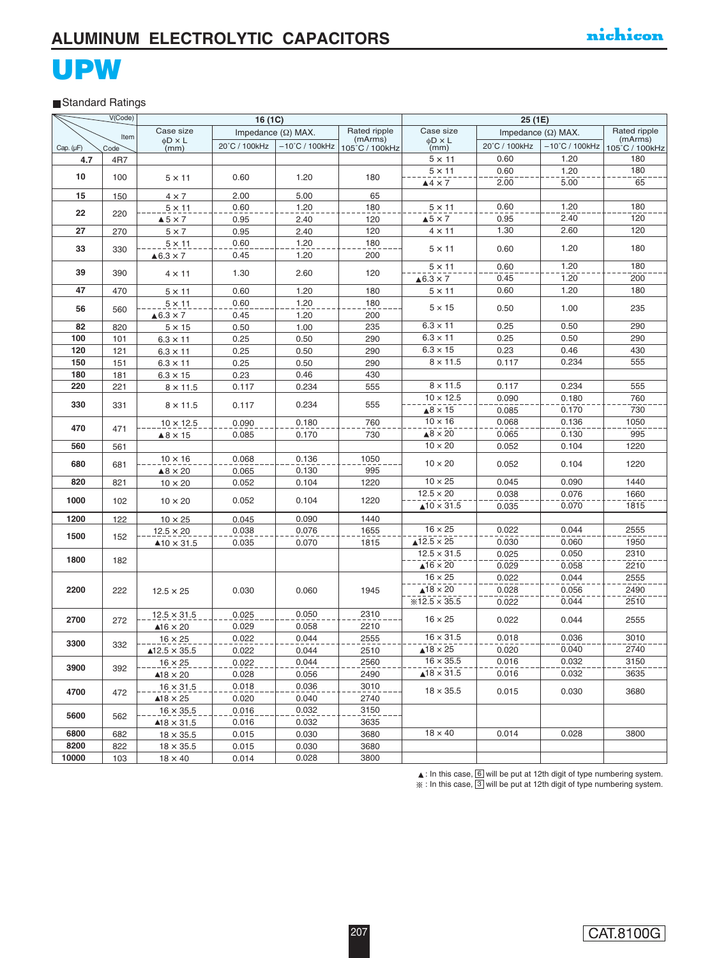### Standard Ratings

|                | V(Code)    |                                           | 16 (1C)       |                           |                           |                              | 25 (1E)<br>Impedance $(\Omega)$ MAX.                                                                                                     |                          |                           |  |
|----------------|------------|-------------------------------------------|---------------|---------------------------|---------------------------|------------------------------|------------------------------------------------------------------------------------------------------------------------------------------|--------------------------|---------------------------|--|
|                | Item       | Case size                                 |               | Impedance $(\Omega)$ MAX. | Rated ripple              | Case size                    |                                                                                                                                          |                          | Rated ripple              |  |
| Cap. $(\mu F)$ | Code       | $\phi$ D x L<br>(mm)                      | 20°C / 100kHz | $-10^{\circ}$ C / 100kHz  | (mArms)<br>105°C / 100kHz | $\phi$ D x L<br>(mm)         | 20°C / 100kHz                                                                                                                            | $-10^{\circ}$ C / 100kHz | (mArms)<br>105°C / 100kHz |  |
| 4.7            | 4R7        |                                           |               |                           |                           | $5 \times 11$                | 0.60                                                                                                                                     | 1.20                     | 180                       |  |
|                |            |                                           |               |                           |                           | $5 \times 11$                | 0.60                                                                                                                                     | 1.20                     | 180                       |  |
| 10             | 100        | $5 \times 11$                             | 0.60          | 1.20                      | 180                       | $44 \times 7$                | 2.00                                                                                                                                     | 5.00                     | 65                        |  |
|                |            |                                           |               |                           |                           |                              |                                                                                                                                          |                          |                           |  |
| 15             | 150        | $4 \times 7$                              | 2.00<br>0.60  | 5.00<br>1.20              | 65<br>180                 | $5 \times 11$                | 0.60                                                                                                                                     | 1.20                     | 180                       |  |
| 22             | 220        | $5 \times 11$<br>$\triangle$ 5 $\times$ 7 | 0.95          | 2.40                      | 120                       | $\triangle$ 5 $\times$ 7     | 0.95                                                                                                                                     | 2.40                     | 120                       |  |
| 27             | 270        | $5 \times 7$                              | 0.95          | 2.40                      | 120                       | $4 \times 11$                | 1.30                                                                                                                                     | 2.60                     | 120                       |  |
|                |            | $5 \times 11$                             | 0.60          | 1.20                      | 180                       |                              |                                                                                                                                          |                          |                           |  |
| 33             | 330        |                                           | 0.45          | 1.20                      | 200                       | $5 \times 11$                | 0.60                                                                                                                                     | 1.20                     | 180                       |  |
|                |            | $\triangle 6.3 \times 7$                  |               |                           |                           | $5 \times 11$                | 0.60                                                                                                                                     | 1.20                     | 180                       |  |
| 39             | 390        | $4 \times 11$                             | 1.30          | 2.60                      | 120                       | $\triangle 6.3 \times 7$     | 0.45                                                                                                                                     | 1.20                     | 200                       |  |
| 47             |            |                                           |               | 1.20                      | 180                       | $5 \times 11$                | 0.60                                                                                                                                     | 1.20                     | 180                       |  |
|                | 470        | $5 \times 11$                             | 0.60          |                           |                           |                              |                                                                                                                                          |                          |                           |  |
| 56             | 560        | $5 \times 11$                             | 0.60<br>0.45  | 1.20<br>1.20              | 180<br>200                | $5 \times 15$                | 0.50                                                                                                                                     | 1.00                     | 235                       |  |
| 82             |            | $\triangle 6.3 \times 7$                  |               | 1.00                      | 235                       | $6.3 \times 11$              | 0.25                                                                                                                                     | 0.50                     | 290                       |  |
| 100            | 820<br>101 | $5 \times 15$                             | 0.50<br>0.25  | 0.50                      | 290                       | $6.3 \times 11$              | 0.25                                                                                                                                     | 0.50                     | 290                       |  |
| 120            | 121        | $6.3 \times 11$<br>$6.3 \times 11$        | 0.25          | 0.50                      | 290                       | $6.3 \times 15$              | 0.23                                                                                                                                     | 0.46                     | 430                       |  |
| 150            | 151        | $6.3 \times 11$                           | 0.25          | 0.50                      | 290                       | $8 \times 11.5$              | 0.117                                                                                                                                    | 0.234                    | 555                       |  |
| 180            | 181        | $6.3 \times 15$                           | 0.23          | 0.46                      | 430                       |                              |                                                                                                                                          |                          |                           |  |
| 220            | 221        | $8 \times 11.5$                           | 0.117         | 0.234                     | 555                       |                              |                                                                                                                                          |                          | 555                       |  |
|                |            |                                           |               |                           |                           |                              | $8 \times 11.5$<br>0.117<br>0.234<br>$10 \times 12.5$<br>0.090<br>0.180<br>$\triangle$ 8 $\times$ 15<br>0.085<br>0.170<br>0.068<br>0.136 | 760                      |                           |  |
| 330            | 331        | $8 \times 11.5$                           | 0.117         | 0.234                     | 555                       |                              |                                                                                                                                          |                          | 730                       |  |
|                |            | $10 \times 12.5$                          | 0.090         | 0.180                     | 760                       | $10 \times 16$               |                                                                                                                                          |                          | 1050                      |  |
| 470            | 471        | $\triangle$ 8 $\times$ 15                 | 0.085         | 0.170                     | 730                       | $\triangle$ 8 $\times$ 20    | 0.065                                                                                                                                    | 0.130                    | 995                       |  |
| 560            | 561        |                                           |               |                           |                           | $10 \times 20$               | 0.052                                                                                                                                    | 0.104                    | 1220                      |  |
|                |            | $10 \times 16$                            | 0.068         | 0.136                     | 1050                      |                              |                                                                                                                                          |                          |                           |  |
| 680            | 681        | $\triangle 8 \times 20$                   | 0.065         | 0.130                     | 995                       | $10 \times 20$               | 0.052                                                                                                                                    | 0.104                    | 1220                      |  |
| 820            | 821        | $10 \times 20$                            | 0.052         | 0.104                     | 1220                      | $10 \times 25$               | 0.045                                                                                                                                    | 0.090                    | 1440                      |  |
|                |            |                                           |               |                           |                           | $12.5 \times 20$             | 0.038                                                                                                                                    | 0.076                    | 1660                      |  |
| 1000           | 102        | $10 \times 20$                            | 0.052         | 0.104                     | 1220                      | $\triangle$ 10 $\times$ 31.5 | 0.035                                                                                                                                    | 0.070                    | 1815                      |  |
| 1200           | 122        | $10 \times 25$                            | 0.045         | 0.090                     | 1440                      |                              |                                                                                                                                          |                          |                           |  |
|                |            | $12.5 \times 20$                          | 0.038         | 0.076                     | 1655                      | $16 \times 25$               | 0.022                                                                                                                                    | 0.044                    | 2555                      |  |
| 1500           | 152        | $\blacktriangle$ 10 $\times$ 31.5         | 0.035         | 0.070                     | 1815                      | $\triangle$ 12.5 $\times$ 25 | 0.030                                                                                                                                    | 0.060                    | 1950                      |  |
|                |            |                                           |               |                           |                           | $12.5 \times 31.5$           | 0.025                                                                                                                                    | 0.050                    | 2310                      |  |
| 1800           | 182        |                                           |               |                           |                           | $\triangle$ 16 $\times$ 20   | 0.029                                                                                                                                    | 0.058                    | 2210                      |  |
|                |            |                                           |               |                           |                           | $16 \times 25$               | 0.022                                                                                                                                    | 0.044                    | 2555                      |  |
| 2200           | 222        | $12.5 \times 25$                          | 0.030         | 0.060                     | 1945                      | $\triangle$ 18 $\times$ 20   | 0.028                                                                                                                                    | 0.056                    | 2490                      |  |
|                |            |                                           |               |                           |                           | $*12.5 \times 35.5$          | 0.022                                                                                                                                    | 0.044                    | 2510                      |  |
|                |            | $12.5 \times 31.5$                        | 0.025         | 0.050                     | 2310                      | $16 \times 25$               | 0.022                                                                                                                                    | 0.044                    | 2555                      |  |
| 2700           | 272        | $\triangle$ 16 $\times$ 20                | 0.029         | 0.058                     | 2210                      |                              |                                                                                                                                          |                          |                           |  |
| 3300           |            | $16 \times 25$                            | 0.022         | 0.044                     | 2555                      | $16 \times 31.5$             | 0.018                                                                                                                                    | 0.036                    | 3010                      |  |
|                | 332        | $\triangle$ 12.5 $\times$ 35.5            | 0.022         | 0.044                     | 2510                      | $\triangle$ 18 $\times$ 25   | 0.020                                                                                                                                    | 0.040                    | 2740                      |  |
| 3900           |            | $16 \times 25$                            | 0.022         | 0.044                     | 2560                      | $16 \times 35.5$             | 0.016                                                                                                                                    | 0.032                    | 3150                      |  |
|                | 392        | $\triangle$ 18 $\times$ 20                | 0.028         | 0.056                     | 2490                      | $\triangle$ 18 $\times$ 31.5 | 0.016                                                                                                                                    | 0.032                    | 3635                      |  |
|                |            | $16 \times 31.5$                          | 0.018         | 0.036                     | 3010                      | $18 \times 35.5$             | 0.015                                                                                                                                    | 0.030                    |                           |  |
| 4700           | 472        | $\triangle$ 18 $\times$ 25                | 0.020         | 0.040                     | 2740                      |                              |                                                                                                                                          |                          | 3680                      |  |
| 5600           |            | $16 \times 35.5$                          | 0.016         | 0.032                     | 3150                      |                              |                                                                                                                                          |                          |                           |  |
|                | 562        | $\triangle$ 18 $\times$ 31.5              | 0.016         | 0.032                     | 3635                      |                              |                                                                                                                                          |                          |                           |  |
| 6800           | 682        | $18 \times 35.5$                          | 0.015         | 0.030                     | 3680                      | $18 \times 40$               | 0.014                                                                                                                                    | 0.028                    | 3800                      |  |
| 8200           | 822        | $18 \times 35.5$                          | 0.015         | 0.030                     | 3680                      |                              |                                                                                                                                          |                          |                           |  |
| 10000          | 103        | $18 \times 40$                            | 0.014         | 0.028                     | 3800                      |                              |                                                                                                                                          |                          |                           |  |

 $\triangle$ : In this case,  $\boxed{6}$  will be put at 12th digit of type numbering system.

: In this case,  $3$  will be put at 12th digit of type numbering system.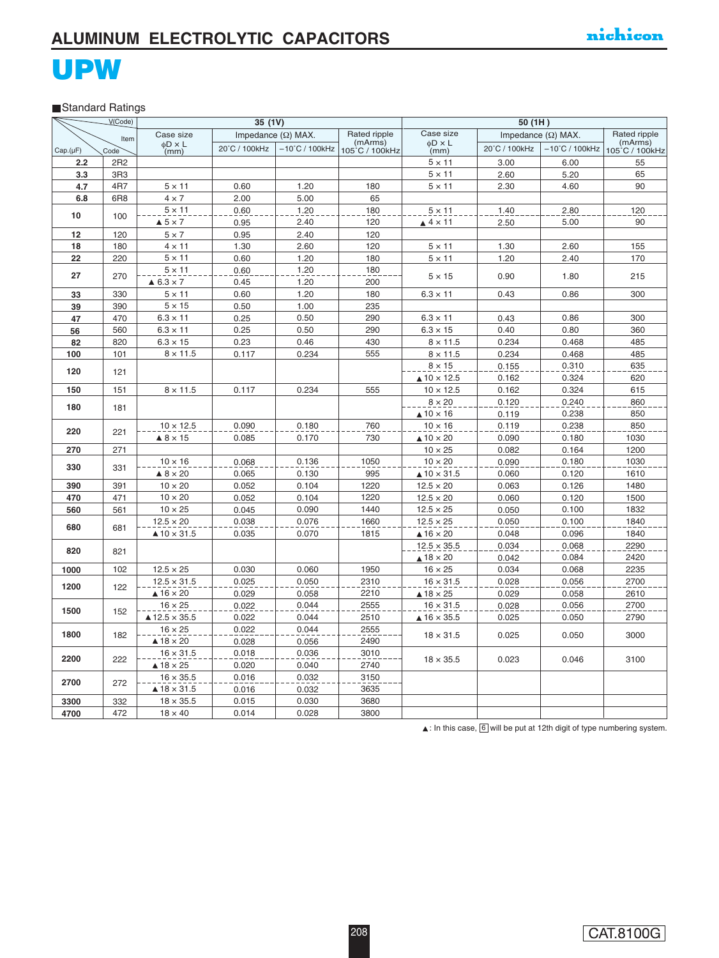#### Standard Ratings

|          | V(Code)         |                                               | 35 (1V)        |                           |                           |                                              | 50 (1H)                   |                          |                           |
|----------|-----------------|-----------------------------------------------|----------------|---------------------------|---------------------------|----------------------------------------------|---------------------------|--------------------------|---------------------------|
|          | Item            | Case size                                     |                | Impedance $(\Omega)$ MAX. | Rated ripple              | Case size                                    | Impedance $(\Omega)$ MAX. |                          | Rated ripple              |
| Cap.(µF) | Code            | $\phi$ D × L<br>(mm)                          | 20°C / 100kHz  | $-10^{\circ}$ C / 100kHz  | (mArms)<br>105°C / 100kHz | $\phi$ D $\times$ L<br>(mm)                  | 20°C / 100kHz             | $-10^{\circ}$ C / 100kHz | (mArms)<br>105°C / 100kHz |
| 2.2      | 2R2             |                                               |                |                           |                           | $5 \times 11$                                | 3.00                      | 6.00                     | 55                        |
| 3.3      | 3R <sub>3</sub> |                                               |                |                           |                           | $5 \times 11$                                | 2.60                      | 5.20                     | 65                        |
| 4.7      | 4R7             | $5 \times 11$                                 | 0.60           | 1.20                      | 180                       | $5 \times 11$                                | 2.30                      | 4.60                     | 90                        |
| 6.8      | 6R8             | $4 \times 7$                                  | 2.00           | 5.00                      | 65                        |                                              |                           |                          |                           |
| 10       |                 | $5 \times 11$                                 | 0.60           | 1.20                      | 180                       | $5 \times 11$                                | 1.40                      | 2.80                     | 120                       |
|          | 100             | $\triangle$ 5 $\times$ 7                      | 0.95           | 2.40                      | 120                       | $\triangle$ 4 $\times$ 11                    | 2.50                      | 5.00                     | 90                        |
| 12       | 120             | $5 \times 7$                                  | 0.95           | 120<br>2.40               |                           |                                              |                           |                          |                           |
| 18       | 180             | $4 \times 11$                                 | 1.30           | 2.60                      | 120                       | $5 \times 11$                                | 1.30                      | 2.60                     | 155                       |
| 22       | 220             | $5 \times 11$                                 | 0.60           | 1.20                      | 180                       | $5 \times 11$                                | 1.20                      | 2.40                     | 170                       |
| 27       | 270             | $5 \times 11$                                 | 0.60           | 1.20                      | 180                       | $5 \times 15$                                | 0.90                      | 1.80                     | 215                       |
|          |                 | $\triangle$ 6.3 $\times$ 7                    | 0.45           | 1.20                      | 200                       |                                              |                           |                          |                           |
| 33       | 330             | $5 \times 11$                                 | 0.60           | 1.20                      | 180                       | $6.3 \times 11$                              | 0.43                      | 0.86                     | 300                       |
| 39       | 390             | $5 \times 15$                                 | 0.50           | 1.00                      | 235                       |                                              |                           |                          |                           |
| 47       | 470             | $6.3 \times 11$                               | 0.25           | 0.50                      | 290                       | $6.3 \times 11$                              | 0.43                      | 0.86                     | 300                       |
| 56       | 560             | $6.3 \times 11$                               | 0.25           | 0.50                      | 290                       | $6.3 \times 15$                              | 0.40                      | 0.80                     | 360                       |
| 82       | 820             | $6.3 \times 15$                               | 0.23           | 0.46                      | 430                       | $8 \times 11.5$                              | 0.234                     | 0.468                    | 485                       |
| 100      | 101             | $8 \times 11.5$                               | 0.117          | 0.234                     | 555                       | $8 \times 11.5$                              | 0.234                     | 0.468                    | 485                       |
| 120      | 121             |                                               |                |                           |                           | $8 \times 15$                                | 0.155                     | 0.310                    | 635                       |
|          |                 |                                               |                |                           |                           | $\triangle$ 10 $\times$ 12.5                 | 0.162                     | 0.324                    | 620                       |
| 150      | 151             | $8 \times 11.5$                               | 0.117          | 0.234                     | 555                       | $10 \times 12.5$                             | 0.162                     | 0.324                    | 615                       |
| 180      | 181             |                                               |                |                           |                           | $8 \times 20$                                | 0.120                     | 0.240                    | 860                       |
|          |                 |                                               |                |                           |                           | $\triangle$ 10 $\times$ 16                   | 0.119                     | 0.238                    | 850                       |
| 220      | 221             | $10 \times 12.5$<br>$\triangle$ 8 $\times$ 15 | 0.090<br>0.085 | 0.180<br>0.170            | 760<br>730                | $10 \times 16$<br>$\triangle$ 10 $\times$ 20 | 0.119                     | 0.238<br>0.180           | 850<br>1030               |
|          | 271             |                                               |                |                           |                           | $10 \times 25$                               | 0.090<br>0.082            | 0.164                    | 1200                      |
| 270      |                 | $10 \times 16$                                | 0.068          | 0.136                     | 1050                      | $10 \times 20$                               | 0.090                     | 0.180                    | 1030                      |
| 330      | 331             | $\triangle$ 8 $\times$ 20                     | 0.065          | 0.130                     | 995                       | $\triangle$ 10 $\times$ 31.5                 | 0.060                     | 0.120                    | 1610                      |
| 390      | 391             | $10 \times 20$                                | 0.052          | 0.104                     | 1220                      | $12.5 \times 20$                             | 0.063                     | 0.126                    | 1480                      |
| 470      | 471             | $10 \times 20$                                | 0.052          | 0.104                     | 1220                      | $12.5 \times 20$                             | 0.060                     | 0.120                    | 1500                      |
| 560      | 561             | $10 \times 25$                                | 0.045          | 0.090                     | 1440                      | $12.5 \times 25$                             | 0.050                     | 0.100                    | 1832                      |
|          |                 | $12.5 \times 20$                              | 0.038          | 0.076                     | 1660                      | $12.5 \times 25$                             | 0.050                     | 0.100                    | 1840                      |
| 680      | 681             | $\triangle$ 10 $\times$ 31.5                  | 0.035          | 0.070                     | 1815                      | $\triangle$ 16 $\times$ 20                   | 0.048                     | 0.096                    | 1840                      |
|          |                 |                                               |                |                           |                           | $12.5 \times 35.5$                           | 0.034                     | 0.068                    | 2290                      |
| 820      | 821             |                                               |                |                           |                           | $\triangle$ 18 $\times$ 20                   | 0.042                     | 0.084                    | 2420                      |
| 1000     | 102             | $12.5 \times 25$                              | 0.030          | 0.060                     | 1950                      | $16 \times 25$                               | 0.034                     | 0.068                    | 2235                      |
|          |                 | $12.5 \times 31.5$                            | 0.025          | 0.050                     | 2310                      | $16 \times 31.5$                             | 0.028                     | 0.056                    | 2700                      |
| 1200     | 122             | $\triangle$ 16 $\times$ 20                    | 0.029          | 0.058                     | 2210                      | $\triangle$ 18 $\times$ 25                   | 0.029                     | 0.058                    | 2610                      |
| 1500     | 152             | $16 \times 25$                                | 0.022          | 0.044                     | 2555                      | $16 \times 31.5$                             | 0.028                     | 0.056                    | 2700                      |
|          |                 | $\triangle$ 12.5 $\times$ 35.5                | 0.022          | 0.044                     | 2510                      | $\triangle$ 16 $\times$ 35.5                 | 0.025                     | 0.050                    | 2790                      |
| 1800     | 182             | $16 \times 25$                                | 0.022          | 0.044                     | 2555                      | $18 \times 31.5$                             | 0.025                     | 0.050                    | 3000                      |
|          |                 | $\triangle$ 18 $\times$ 20                    | 0.028          | 0.056                     | 2490                      |                                              |                           |                          |                           |
| 2200     | 222             | $16 \times 31.5$                              | 0.018          | 0.036                     | 3010                      | $18 \times 35.5$                             | 0.023                     | 0.046                    | 3100                      |
|          |                 | $\triangle$ 18 $\times$ 25                    | 0.020          | 0.040                     | 2740                      |                                              |                           |                          |                           |
| 2700     | 272             | $16 \times 35.5$                              | 0.016          | 0.032                     | 3150                      |                                              |                           |                          |                           |
|          |                 | $\triangle$ 18 $\times$ 31.5                  | 0.016          | 0.032                     | 3635                      |                                              |                           |                          |                           |
| 3300     | 332             | $18 \times 35.5$                              | 0.015          | 0.030                     | 3680                      |                                              |                           |                          |                           |
| 4700     | 472             | $18 \times 40$                                | 0.014          | 0.028                     | 3800                      |                                              |                           |                          |                           |

 $\blacktriangle$ : In this case,  $\boxed{6}$  will be put at 12th digit of type numbering system.